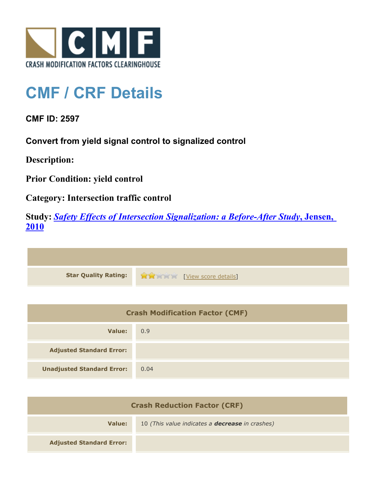

## **CMF / CRF Details**

**CMF ID: 2597**

**Convert from yield signal control to signalized control**

**Description:** 

**Prior Condition: yield control**

**Category: Intersection traffic control**

**Study:** *[Safety Effects of Intersection Signalization: a Before-After Study](http://www.cmfclearinghouse.org/study_detail.cfm?stid=170)***[, Jensen,](http://www.cmfclearinghouse.org/study_detail.cfm?stid=170) [2010](http://www.cmfclearinghouse.org/study_detail.cfm?stid=170)**



| <b>Crash Modification Factor (CMF)</b> |      |
|----------------------------------------|------|
| Value:                                 | 0.9  |
| <b>Adjusted Standard Error:</b>        |      |
| <b>Unadjusted Standard Error:</b>      | 0.04 |

| <b>Crash Reduction Factor (CRF)</b> |                                                        |
|-------------------------------------|--------------------------------------------------------|
| Value:                              | 10 (This value indicates a <b>decrease</b> in crashes) |
| <b>Adjusted Standard Error:</b>     |                                                        |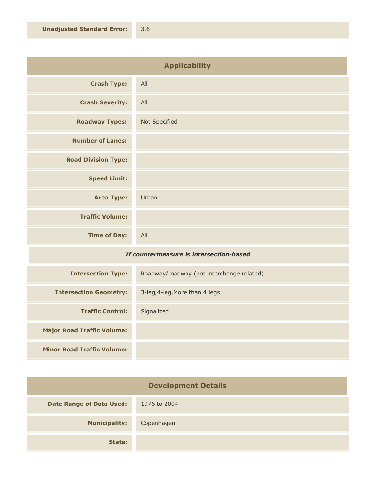| <b>Applicability</b>       |               |
|----------------------------|---------------|
| <b>Crash Type:</b>         | All           |
| <b>Crash Severity:</b>     | All           |
| <b>Roadway Types:</b>      | Not Specified |
| <b>Number of Lanes:</b>    |               |
| <b>Road Division Type:</b> |               |
| <b>Speed Limit:</b>        |               |
| <b>Area Type:</b>          | Urban         |
| <b>Traffic Volume:</b>     |               |
| <b>Time of Day:</b>        | All           |

## *If countermeasure is intersection-based*

| <b>Intersection Type:</b>         | Roadway/roadway (not interchange related) |
|-----------------------------------|-------------------------------------------|
| <b>Intersection Geometry:</b>     | 3-leg, 4-leg, More than 4 legs            |
| <b>Traffic Control:</b>           | Signalized                                |
| <b>Major Road Traffic Volume:</b> |                                           |
| <b>Minor Road Traffic Volume:</b> |                                           |

| <b>Development Details</b>      |              |
|---------------------------------|--------------|
| <b>Date Range of Data Used:</b> | 1976 to 2004 |
| <b>Municipality:</b>            | Copenhagen   |
| State:                          |              |